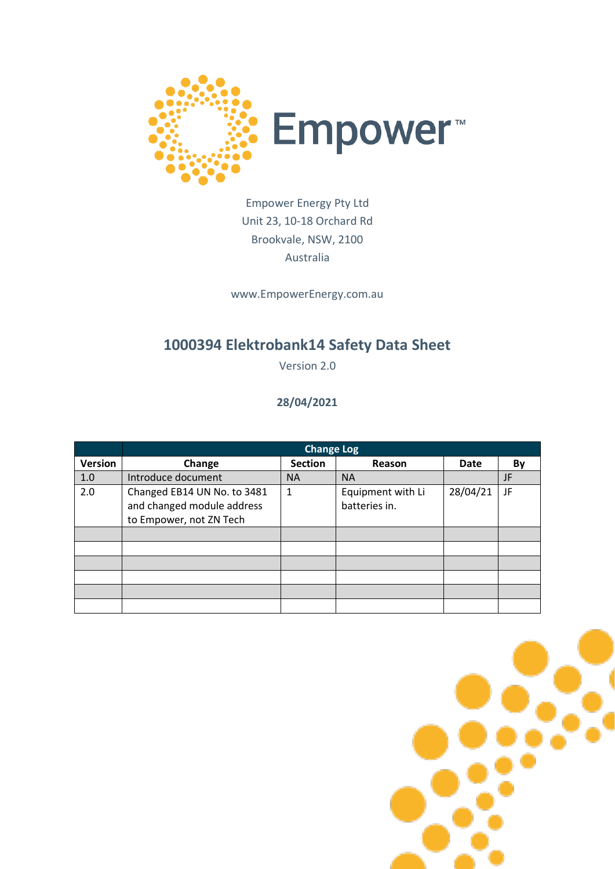

### Empower Energy Pty Ltd Unit 23, 10-18 Orchard Rd Brookvale, NSW, 2100 Australia

www.EmpowerEnergy.com.au

# **1000394 Elektrobank14 Safety Data Sheet**

Version 2.0

#### **28/04/2021**

|                | <b>Change Log</b>           |                |                   |          |    |
|----------------|-----------------------------|----------------|-------------------|----------|----|
| <b>Version</b> | Change                      | <b>Section</b> | Reason            | Date     | Bv |
| 1.0            | Introduce document          | <b>NA</b>      | <b>NA</b>         |          | JF |
| 2.0            | Changed EB14 UN No. to 3481 | $\mathbf 1$    | Equipment with Li | 28/04/21 | JF |
|                | and changed module address  |                | batteries in.     |          |    |
|                | to Empower, not ZN Tech     |                |                   |          |    |
|                |                             |                |                   |          |    |
|                |                             |                |                   |          |    |
|                |                             |                |                   |          |    |
|                |                             |                |                   |          |    |
|                |                             |                |                   |          |    |
|                |                             |                |                   |          |    |

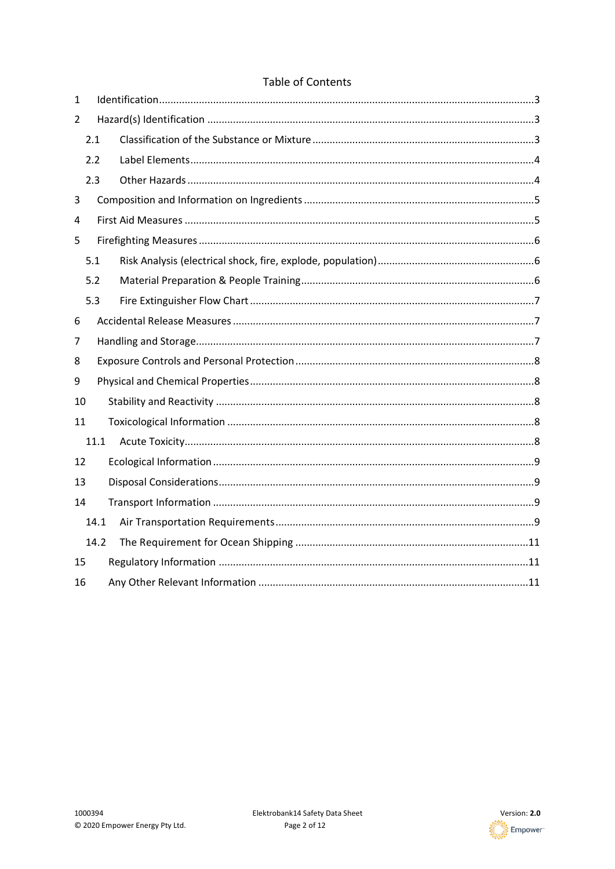#### Table of Contents

| 1              |     |      |  |  |  |  |  |
|----------------|-----|------|--|--|--|--|--|
| $\overline{2}$ |     |      |  |  |  |  |  |
|                | 2.1 |      |  |  |  |  |  |
|                | 2.2 |      |  |  |  |  |  |
|                | 2.3 |      |  |  |  |  |  |
| 3              |     |      |  |  |  |  |  |
| 4              |     |      |  |  |  |  |  |
| 5              |     |      |  |  |  |  |  |
|                | 5.1 |      |  |  |  |  |  |
|                | 5.2 |      |  |  |  |  |  |
|                | 5.3 |      |  |  |  |  |  |
| 6              |     |      |  |  |  |  |  |
| 7              |     |      |  |  |  |  |  |
| 8              |     |      |  |  |  |  |  |
| 9              |     |      |  |  |  |  |  |
| 10             |     |      |  |  |  |  |  |
| 11             |     |      |  |  |  |  |  |
|                |     | 11.1 |  |  |  |  |  |
| 12             |     |      |  |  |  |  |  |
| 13             |     |      |  |  |  |  |  |
| 14             |     |      |  |  |  |  |  |
|                |     | 14.1 |  |  |  |  |  |
|                |     | 14.2 |  |  |  |  |  |
| 15             |     |      |  |  |  |  |  |
| 16             |     |      |  |  |  |  |  |

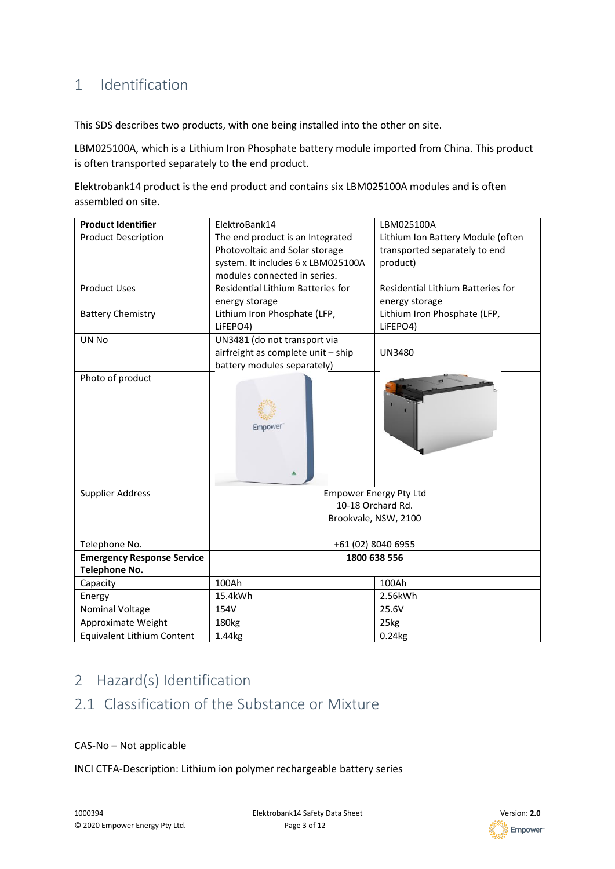## <span id="page-2-0"></span>1 Identification

This SDS describes two products, with one being installed into the other on site.

LBM025100A, which is a Lithium Iron Phosphate battery module imported from China. This product is often transported separately to the end product.

Elektrobank14 product is the end product and contains six LBM025100A modules and is often assembled on site.

| <b>Product Identifier</b>         | ElektroBank14                      | LBM025100A                        |  |
|-----------------------------------|------------------------------------|-----------------------------------|--|
| <b>Product Description</b>        | The end product is an Integrated   | Lithium Ion Battery Module (often |  |
|                                   | Photovoltaic and Solar storage     | transported separately to end     |  |
|                                   | system. It includes 6 x LBM025100A | product)                          |  |
|                                   | modules connected in series.       |                                   |  |
| <b>Product Uses</b>               | Residential Lithium Batteries for  | Residential Lithium Batteries for |  |
|                                   | energy storage                     | energy storage                    |  |
| <b>Battery Chemistry</b>          | Lithium Iron Phosphate (LFP,       | Lithium Iron Phosphate (LFP,      |  |
|                                   | LiFEPO4)                           | LiFEPO4)                          |  |
| UN No                             | UN3481 (do not transport via       |                                   |  |
|                                   | airfreight as complete unit - ship | <b>UN3480</b>                     |  |
|                                   | battery modules separately)        |                                   |  |
| Photo of product                  | Empower                            |                                   |  |
| <b>Supplier Address</b>           | <b>Empower Energy Pty Ltd</b>      |                                   |  |
|                                   | 10-18 Orchard Rd.                  |                                   |  |
|                                   |                                    | Brookvale, NSW, 2100              |  |
| Telephone No.                     | +61 (02) 8040 6955                 |                                   |  |
| <b>Emergency Response Service</b> | 1800 638 556                       |                                   |  |
| <b>Telephone No.</b>              |                                    |                                   |  |
| Capacity                          | 100Ah                              | 100Ah                             |  |
| Energy                            | 15.4kWh                            | 2.56kWh                           |  |
| <b>Nominal Voltage</b>            | 154V                               | 25.6V                             |  |
| Approximate Weight                | 180kg                              | 25kg                              |  |
| <b>Equivalent Lithium Content</b> | 1.44kg                             | $0.24$ <sub>kg</sub>              |  |

# <span id="page-2-1"></span>2 Hazard(s) Identification

## <span id="page-2-2"></span>2.1 Classification of the Substance or Mixture

#### CAS-No – Not applicable

INCI CTFA-Description: Lithium ion polymer rechargeable battery series

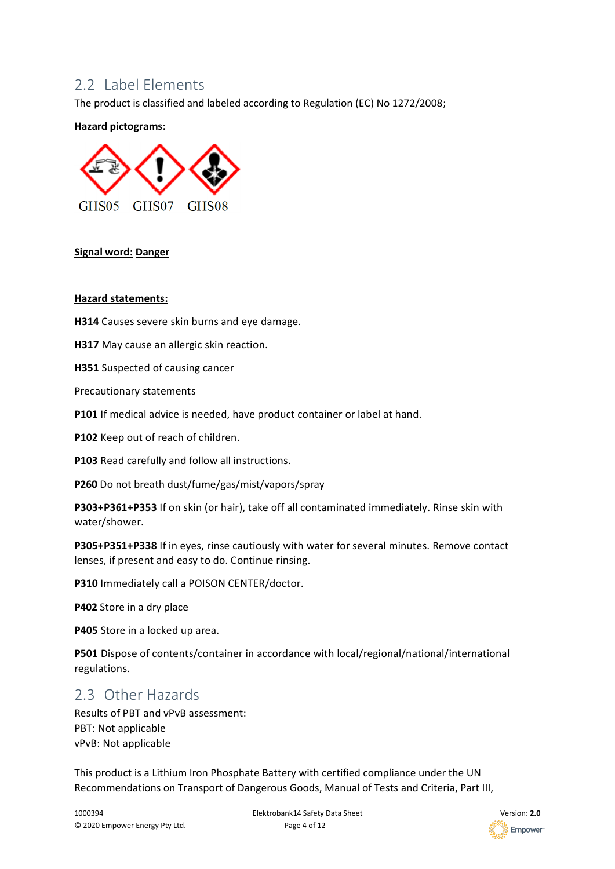#### <span id="page-3-0"></span>2.2 Label Flements

The product is classified and labeled according to Regulation (EC) No 1272/2008;

#### **Hazard pictograms:**



#### **Signal word: Danger**

#### **Hazard statements:**

**H314** Causes severe skin burns and eye damage.

**H317** May cause an allergic skin reaction.

**H351** Suspected of causing cancer

Precautionary statements

**P101** If medical advice is needed, have product container or label at hand.

**P102** Keep out of reach of children.

**P103** Read carefully and follow all instructions.

**P260** Do not breath dust/fume/gas/mist/vapors/spray

**P303+P361+P353** If on skin (or hair), take off all contaminated immediately. Rinse skin with water/shower.

**P305+P351+P338** If in eyes, rinse cautiously with water for several minutes. Remove contact lenses, if present and easy to do. Continue rinsing.

**P310** Immediately call a POISON CENTER/doctor.

**P402** Store in a dry place

**P405** Store in a locked up area.

**P501** Dispose of contents/container in accordance with local/regional/national/international regulations.

#### <span id="page-3-1"></span>2.3 Other Hazards

Results of PBT and vPvB assessment: PBT: Not applicable vPvB: Not applicable

This product is a Lithium Iron Phosphate Battery with certified compliance under the UN Recommendations on Transport of Dangerous Goods, Manual of Tests and Criteria, Part III,

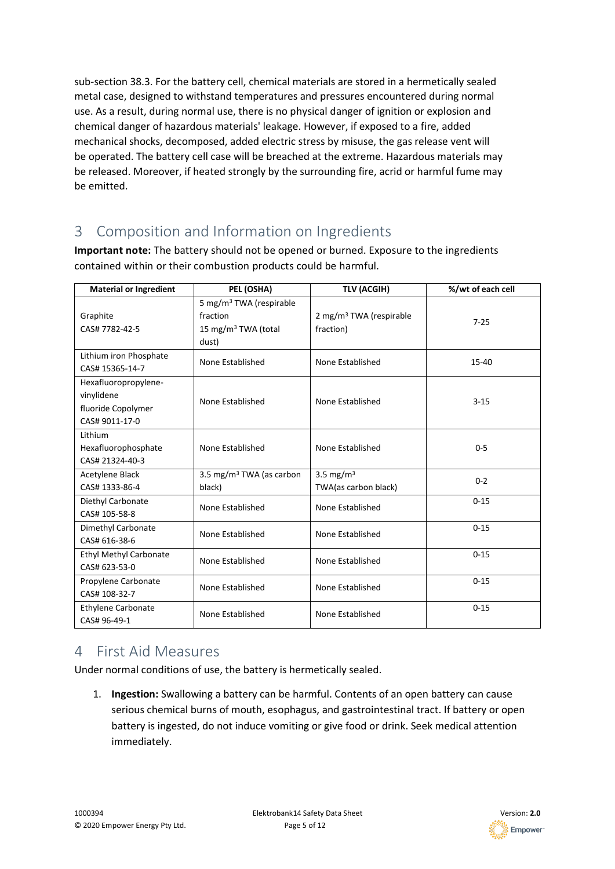sub-section 38.3. For the battery cell, chemical materials are stored in a hermetically sealed metal case, designed to withstand temperatures and pressures encountered during normal use. As a result, during normal use, there is no physical danger of ignition or explosion and chemical danger of hazardous materials' leakage. However, if exposed to a fire, added mechanical shocks, decomposed, added electric stress by misuse, the gas release vent will be operated. The battery cell case will be breached at the extreme. Hazardous materials may be released. Moreover, if heated strongly by the surrounding fire, acrid or harmful fume may be emitted.

## <span id="page-4-0"></span>3 Composition and Information on Ingredients

**Important note:** The battery should not be opened or burned. Exposure to the ingredients contained within or their combustion products could be harmful.

| <b>Material or Ingredient</b>                                              | PEL (OSHA)                                                                                  | <b>TLV (ACGIH)</b>                               | %/wt of each cell |
|----------------------------------------------------------------------------|---------------------------------------------------------------------------------------------|--------------------------------------------------|-------------------|
| Graphite<br>CAS# 7782-42-5                                                 | 5 mg/m <sup>3</sup> TWA (respirable<br>fraction<br>15 mg/m <sup>3</sup> TWA (total<br>dust) | 2 mg/m <sup>3</sup> TWA (respirable<br>fraction) | $7 - 25$          |
| Lithium iron Phosphate<br>CAS# 15365-14-7                                  | None Established                                                                            | None Established                                 | $15 - 40$         |
| Hexafluoropropylene-<br>vinylidene<br>fluoride Copolymer<br>CAS# 9011-17-0 | None Established                                                                            | None Established                                 | $3 - 15$          |
| Lithium<br>Hexafluorophosphate<br>CAS# 21324-40-3                          | None Established                                                                            | None Established                                 | $0 - 5$           |
| Acetylene Black<br>CAS# 1333-86-4                                          | 3.5 mg/m <sup>3</sup> TWA (as carbon<br>black)                                              | 3.5 mg/m $3$<br>TWA(as carbon black)             | $0 - 2$           |
| Diethyl Carbonate<br>CAS# 105-58-8                                         | None Established                                                                            | None Established                                 | $0 - 15$          |
| Dimethyl Carbonate<br>CAS# 616-38-6                                        | None Established                                                                            | None Established                                 | $0 - 15$          |
| <b>Ethyl Methyl Carbonate</b><br>CAS# 623-53-0                             | None Established                                                                            | None Established                                 | $0 - 15$          |
| Propylene Carbonate<br>CAS# 108-32-7                                       | None Established                                                                            | None Established                                 | $0 - 15$          |
| <b>Ethylene Carbonate</b><br>CAS# 96-49-1                                  | None Established                                                                            | None Established                                 | $0 - 15$          |

### <span id="page-4-1"></span>4 First Aid Measures

Under normal conditions of use, the battery is hermetically sealed.

1. **Ingestion:** Swallowing a battery can be harmful. Contents of an open battery can cause serious chemical burns of mouth, esophagus, and gastrointestinal tract. If battery or open battery is ingested, do not induce vomiting or give food or drink. Seek medical attention immediately.

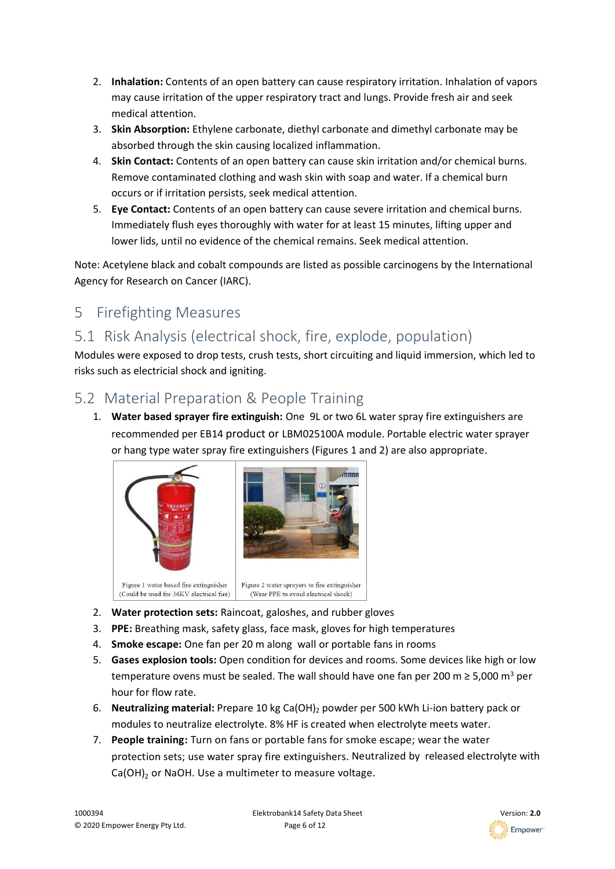- 2. **Inhalation:** Contents of an open battery can cause respiratory irritation. Inhalation of vapors may cause irritation of the upper respiratory tract and lungs. Provide fresh air and seek medical attention.
- 3. **Skin Absorption:** Ethylene carbonate, diethyl carbonate and dimethyl carbonate may be absorbed through the skin causing localized inflammation.
- 4. **Skin Contact:** Contents of an open battery can cause skin irritation and/or chemical burns. Remove contaminated clothing and wash skin with soap and water. If a chemical burn occurs or if irritation persists, seek medical attention.
- 5. **Eye Contact:** Contents of an open battery can cause severe irritation and chemical burns. Immediately flush eyes thoroughly with water for at least 15 minutes, lifting upper and lower lids, until no evidence of the chemical remains. Seek medical attention.

Note: Acetylene black and cobalt compounds are listed as possible carcinogens by the International Agency for Research on Cancer (IARC).

# <span id="page-5-0"></span>5 Firefighting Measures

# <span id="page-5-1"></span>5.1 Risk Analysis (electrical shock, fire, explode, population)

Modules were exposed to drop tests, crush tests, short circuiting and liquid immersion, which led to risks such as electricial shock and igniting.

## <span id="page-5-2"></span>5.2 Material Preparation & People Training

1. **Water based sprayer fire extinguish:** One 9L or two 6L water spray fire extinguishers are recommended per EB14 product or LBM025100A module. Portable electric water sprayer or hang type water spray fire extinguishers (Figures 1 and 2) are also appropriate.



- 2. **Water protection sets:** Raincoat, galoshes, and rubber gloves
- 3. **PPE:** Breathing mask, safety glass, face mask, gloves for high temperatures
- 4. **Smoke escape:** One fan per 20 m along wall or portable fans in rooms
- 5. **Gases explosion tools:** Open condition for devices and rooms. Some devices like high or low temperature ovens must be sealed. The wall should have one fan per 200 m  $\geq 5,000$  m<sup>3</sup> per hour for flow rate.
- 6. **Neutralizing material:** Prepare 10 kg Ca(OH)<sup>2</sup> powder per 500 kWh Li-ion battery pack or modules to neutralize electrolyte. 8% HF is created when electrolyte meets water.
- 7. **People training:** Turn on fans or portable fans for smoke escape; wear the water protection sets; use water spray fire extinguishers. Neutralized by released electrolyte with Ca(OH)<sub>2</sub> or NaOH. Use a multimeter to measure voltage.

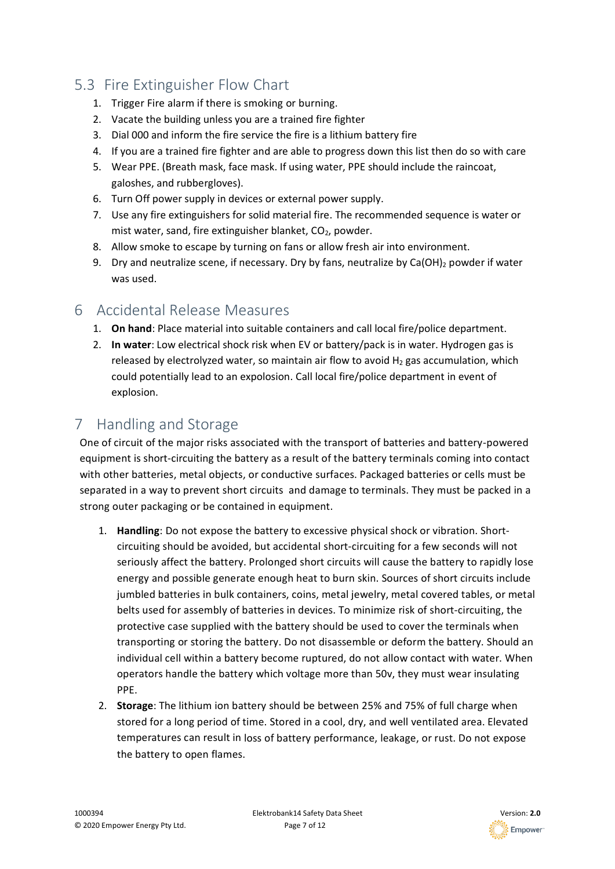### <span id="page-6-0"></span>5.3 Fire Extinguisher Flow Chart

- 1. Trigger Fire alarm if there is smoking or burning.
- 2. Vacate the building unless you are a trained fire fighter
- 3. Dial 000 and inform the fire service the fire is a lithium battery fire
- 4. If you are a trained fire fighter and are able to progress down this list then do so with care
- 5. Wear PPE. (Breath mask, face mask. If using water, PPE should include the raincoat, galoshes, and rubbergloves).
- 6. Turn Off power supply in devices or external power supply.
- 7. Use any fire extinguishers for solid material fire. The recommended sequence is water or mist water, sand, fire extinguisher blanket,  $CO<sub>2</sub>$ , powder.
- 8. Allow smoke to escape by turning on fans or allow fresh air into environment.
- 9. Dry and neutralize scene, if necessary. Dry by fans, neutralize by  $Ca(OH)_2$  powder if water was used.

#### <span id="page-6-1"></span>6 Accidental Release Measures

- 1. **On hand**: Place material into suitable containers and call local fire/police department.
- 2. **In water**: Low electrical shock risk when EV or battery/pack is in water. Hydrogen gas is released by electrolyzed water, so maintain air flow to avoid  $H_2$  gas accumulation, which could potentially lead to an expolosion. Call local fire/police department in event of explosion.

## <span id="page-6-2"></span>7 Handling and Storage

One of circuit of the major risks associated with the transport of batteries and battery-powered equipment is short-circuiting the battery as a result of the battery terminals coming into contact with other batteries, metal objects, or conductive surfaces. Packaged batteries or cells must be separated in a way to prevent short circuits and damage to terminals. They must be packed in a strong outer packaging or be contained in equipment.

- 1. **Handling**: Do not expose the battery to excessive physical shock or vibration. Shortcircuiting should be avoided, but accidental short-circuiting for a few seconds will not seriously affect the battery. Prolonged short circuits will cause the battery to rapidly lose energy and possible generate enough heat to burn skin. Sources of short circuits include jumbled batteries in bulk containers, coins, metal jewelry, metal covered tables, or metal belts used for assembly of batteries in devices. To minimize risk of short-circuiting, the protective case supplied with the battery should be used to cover the terminals when transporting or storing the battery. Do not disassemble or deform the battery. Should an individual cell within a battery become ruptured, do not allow contact with water. When operators handle the battery which voltage more than 50v, they must wear insulating PPE.
- 2. **Storage**: The lithium ion battery should be between 25% and 75% of full charge when stored for a long period of time. Stored in a cool, dry, and well ventilated area. Elevated temperatures can result in loss of battery performance, leakage, or rust. Do not expose the battery to open flames.

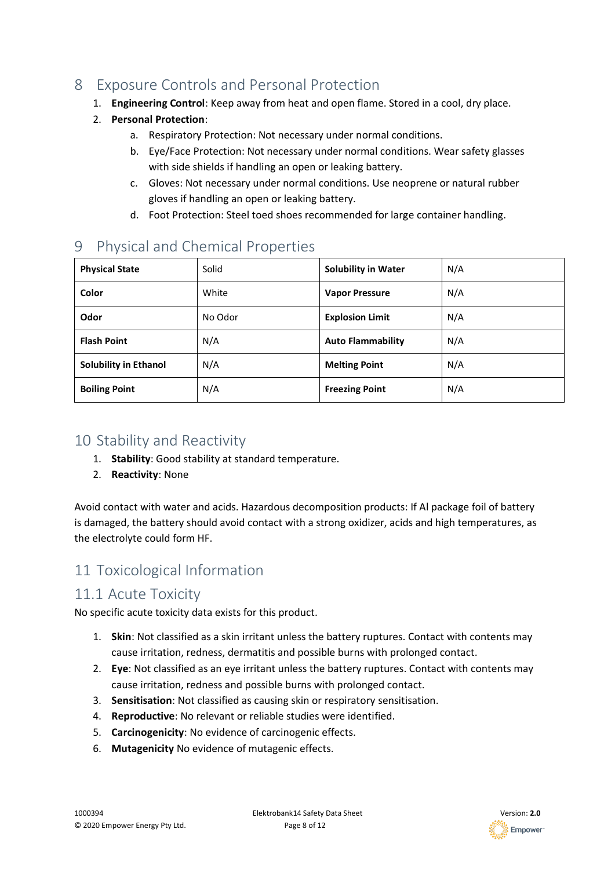# <span id="page-7-0"></span>8 Exposure Controls and Personal Protection

- 1. **Engineering Control**: Keep away from heat and open flame. Stored in a cool, dry place.
- 2. **Personal Protection**:
	- a. Respiratory Protection: Not necessary under normal conditions.
	- b. Eye/Face Protection: Not necessary under normal conditions. Wear safety glasses with side shields if handling an open or leaking battery.
	- c. Gloves: Not necessary under normal conditions. Use neoprene or natural rubber gloves if handling an open or leaking battery.
	- d. Foot Protection: Steel toed shoes recommended for large container handling.

## <span id="page-7-1"></span>9 Physical and Chemical Properties

| <b>Physical State</b>        | Solid   | <b>Solubility in Water</b> | N/A |
|------------------------------|---------|----------------------------|-----|
| Color                        | White   | <b>Vapor Pressure</b>      | N/A |
| Odor                         | No Odor | <b>Explosion Limit</b>     | N/A |
| <b>Flash Point</b>           | N/A     | <b>Auto Flammability</b>   | N/A |
| <b>Solubility in Ethanol</b> | N/A     | <b>Melting Point</b>       | N/A |
| <b>Boiling Point</b>         | N/A     | <b>Freezing Point</b>      | N/A |

## <span id="page-7-2"></span>10 Stability and Reactivity

- 1. **Stability**: Good stability at standard temperature.
- 2. **Reactivity**: None

Avoid contact with water and acids. Hazardous decomposition products: If Al package foil of battery is damaged, the battery should avoid contact with a strong oxidizer, acids and high temperatures, as the electrolyte could form HF.

# <span id="page-7-3"></span>11 Toxicological Information

#### <span id="page-7-4"></span>11.1 Acute Toxicity

No specific acute toxicity data exists for this product.

- 1. **Skin**: Not classified as a skin irritant unless the battery ruptures. Contact with contents may cause irritation, redness, dermatitis and possible burns with prolonged contact.
- 2. **Eye**: Not classified as an eye irritant unless the battery ruptures. Contact with contents may cause irritation, redness and possible burns with prolonged contact.
- 3. **Sensitisation**: Not classified as causing skin or respiratory sensitisation.
- 4. **Reproductive**: No relevant or reliable studies were identified.
- 5. **Carcinogenicity**: No evidence of carcinogenic effects.
- 6. **Mutagenicity** No evidence of mutagenic effects.

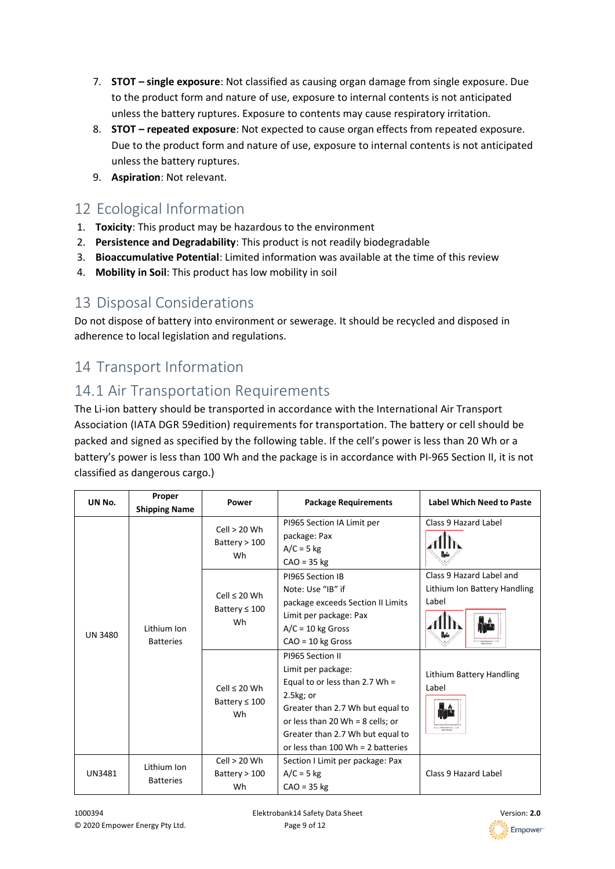- 7. **STOT – single exposure**: Not classified as causing organ damage from single exposure. Due to the product form and nature of use, exposure to internal contents is not anticipated unless the battery ruptures. Exposure to contents may cause respiratory irritation.
- 8. **STOT – repeated exposure**: Not expected to cause organ effects from repeated exposure. Due to the product form and nature of use, exposure to internal contents is not anticipated unless the battery ruptures.
- 9. **Aspiration**: Not relevant.

# <span id="page-8-0"></span>12 Ecological Information

- 1. **Toxicity**: This product may be hazardous to the environment
- 2. **Persistence and Degradability**: This product is not readily biodegradable
- 3. **Bioaccumulative Potential**: Limited information was available at the time of this review
- 4. **Mobility in Soil**: This product has low mobility in soil

### <span id="page-8-1"></span>13 Disposal Considerations

Do not dispose of battery into environment or sewerage. It should be recycled and disposed in adherence to local legislation and regulations.

# <span id="page-8-2"></span>14 Transport Information

# <span id="page-8-3"></span>14.1 Air Transportation Requirements

The Li-ion battery should be transported in accordance with the International Air Transport Association (IATA DGR 59edition) requirements for transportation. The battery or cell should be packed and signed as specified by the following table. If the cell's power is less than 20 Wh or a battery's power is less than 100 Wh and the package is in accordance with PI-965 Section II, it is not classified as dangerous cargo.)

| UN No.         | Proper<br><b>Shipping Name</b>  | Power                                         | <b>Package Requirements</b>                                                                                                                                                                                                                | <b>Label Which Need to Paste</b>                                              |
|----------------|---------------------------------|-----------------------------------------------|--------------------------------------------------------------------------------------------------------------------------------------------------------------------------------------------------------------------------------------------|-------------------------------------------------------------------------------|
|                |                                 | Cell > 20 Wh<br>Battery $> 100$<br>Wh         | PI965 Section IA Limit per<br>package: Pax<br>$A/C = 5$ kg<br>$CAO = 35$ kg                                                                                                                                                                | Class 9 Hazard Label                                                          |
| <b>UN 3480</b> | Lithium Ion<br><b>Batteries</b> | Cell $\leq 20$ Wh<br>Battery $\leq 100$<br>Wh | PI965 Section IB<br>Note: Use "IB" if<br>package exceeds Section II Limits<br>Limit per package: Pax<br>$A/C = 10$ kg Gross<br>$CAO = 10$ kg Gross                                                                                         | Class 9 Hazard Label and<br>Lithium Ion Battery Handling<br>Label<br>designer |
|                |                                 | Cell $\leq 20$ Wh<br>Battery $\leq 100$<br>Wh | PI965 Section II<br>Limit per package:<br>Equal to or less than 2.7 Wh =<br>2.5kg; or<br>Greater than 2.7 Wh but equal to<br>or less than 20 Wh = $8$ cells; or<br>Greater than 2.7 Wh but equal to<br>or less than $100$ Wh = 2 batteries | Lithium Battery Handling<br>Label                                             |
| UN3481         | Lithium Ion<br><b>Batteries</b> | Cell > 20 Wh<br>Battery $> 100$<br>Wh         | Section I Limit per package: Pax<br>$A/C = 5$ kg<br>$CAO = 35$ kg                                                                                                                                                                          | Class 9 Hazard Label                                                          |

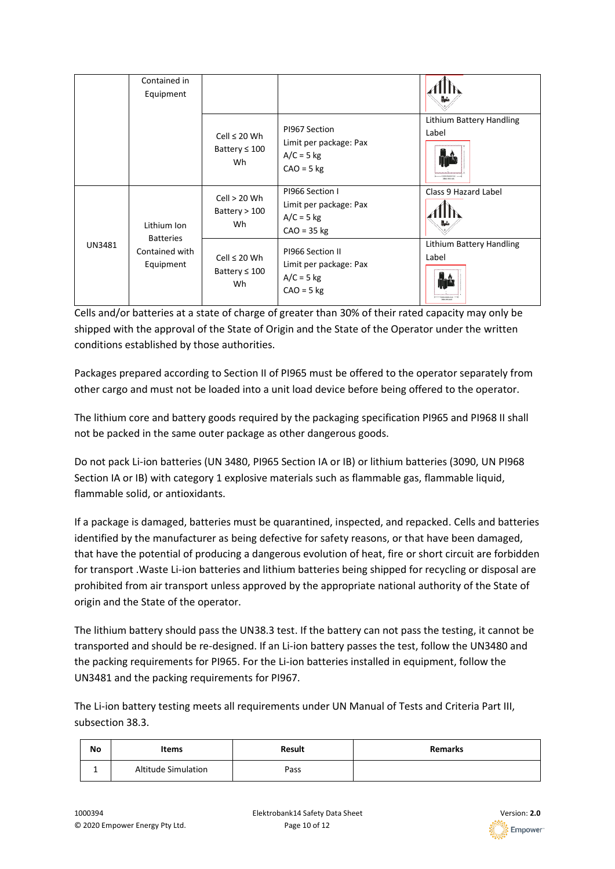|        | Contained in<br>Equipment                       |                                               |                                                                            |                                                    |
|--------|-------------------------------------------------|-----------------------------------------------|----------------------------------------------------------------------------|----------------------------------------------------|
|        |                                                 | Cell $\leq 20$ Wh<br>Battery $\leq 100$<br>Wh | PI967 Section<br>Limit per package: Pax<br>$A/C = 5$ kg<br>$CAO = 5$ kg    | Lithium Battery Handling<br>Label<br>Idea televisi |
|        | Lithium Ion                                     | Cell > 20 Wh<br>Battery $> 100$<br>Wh         | PI966 Section I<br>Limit per package: Pax<br>$A/C = 5$ kg<br>$CAO = 35$ kg | Class 9 Hazard Label                               |
| UN3481 | <b>Batteries</b><br>Contained with<br>Equipment | Cell $\leq 20$ Wh<br>Battery $\leq 100$<br>Wh | PI966 Section II<br>Limit per package: Pax<br>$A/C = 5$ kg<br>$CAO = 5$ kg | Lithium Battery Handling<br>Label                  |

Cells and/or batteries at a state of charge of greater than 30% of their rated capacity may only be shipped with the approval of the State of Origin and the State of the Operator under the written conditions established by those authorities.

Packages prepared according to Section II of PI965 must be offered to the operator separately from other cargo and must not be loaded into a unit load device before being offered to the operator.

The lithium core and battery goods required by the packaging specification PI965 and PI968 II shall not be packed in the same outer package as other dangerous goods.

Do not pack Li-ion batteries (UN 3480, PI965 Section IA or IB) or lithium batteries (3090, UN PI968 Section IA or IB) with category 1 explosive materials such as flammable gas, flammable liquid, flammable solid, or antioxidants.

If a package is damaged, batteries must be quarantined, inspected, and repacked. Cells and batteries identified by the manufacturer as being defective for safety reasons, or that have been damaged, that have the potential of producing a dangerous evolution of heat, fire or short circuit are forbidden for transport .Waste Li-ion batteries and lithium batteries being shipped for recycling or disposal are prohibited from air transport unless approved by the appropriate national authority of the State of origin and the State of the operator.

The lithium battery should pass the UN38.3 test. If the battery can not pass the testing, it cannot be transported and should be re-designed. If an Li-ion battery passes the test, follow the UN3480 and the packing requirements for PI965. For the Li-ion batteries installed in equipment, follow the UN3481 and the packing requirements for PI967.

The Li-ion battery testing meets all requirements under UN Manual of Tests and Criteria Part III, subsection 38.3.

| No | Items                      | <b>Result</b> | <b>Remarks</b> |
|----|----------------------------|---------------|----------------|
|    | <b>Altitude Simulation</b> | Pass          |                |

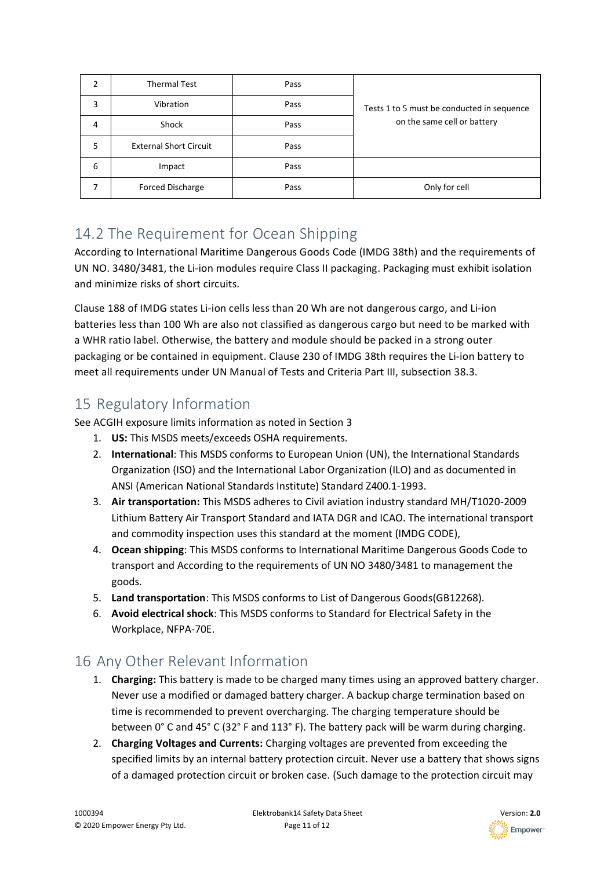| 2 | <b>Thermal Test</b>           | Pass |                                            |
|---|-------------------------------|------|--------------------------------------------|
| 3 | Vibration                     | Pass | Tests 1 to 5 must be conducted in sequence |
| 4 | Shock                         | Pass | on the same cell or battery                |
| 5 | <b>External Short Circuit</b> | Pass |                                            |
| 6 | Impact                        | Pass |                                            |
|   | <b>Forced Discharge</b>       | Pass | Only for cell                              |

# <span id="page-10-0"></span>14.2 The Requirement for Ocean Shipping

According to International Maritime Dangerous Goods Code (IMDG 38th) and the requirements of UN NO. 3480/3481, the Li-ion modules require Class II packaging. Packaging must exhibit isolation and minimize risks of short circuits.

Clause 188 of IMDG states Li-ion cells less than 20 Wh are not dangerous cargo, and Li-ion batteries less than 100 Wh are also not classified as dangerous cargo but need to be marked with a WHR ratio label. Otherwise, the battery and module should be packed in a strong outer packaging or be contained in equipment. Clause 230 of IMDG 38th requires the Li-ion battery to meet all requirements under UN Manual of Tests and Criteria Part III, subsection 38.3.

# <span id="page-10-1"></span>15 Regulatory Information

See ACGIH exposure limits information as noted in Section 3

- 1. **US:** This MSDS meets/exceeds OSHA requirements.
- 2. **International**: This MSDS conforms to European Union (UN), the International Standards Organization (ISO) and the International Labor Organization (ILO) and as documented in ANSI (American National Standards Institute) Standard Z400.1-1993.
- 3. **Air transportation:** This MSDS adheres to Civil aviation industry standard MH/T1020-2009 Lithium Battery Air Transport Standard and IATA DGR and ICAO. The international transport and commodity inspection uses this standard at the moment (IMDG CODE),
- 4. **Ocean shipping**: This MSDS conforms to International Maritime Dangerous Goods Code to transport and According to the requirements of UN NO 3480/3481 to management the goods.
- 5. **Land transportation**: This MSDS conforms to List of Dangerous Goods(GB12268).
- 6. **Avoid electrical shock**: This MSDS conforms to Standard for Electrical Safety in the Workplace, NFPA-70E.

# <span id="page-10-2"></span>16 Any Other Relevant Information

- 1. **Charging:** This battery is made to be charged many times using an approved battery charger. Never use a modified or damaged battery charger. A backup charge termination based on time is recommended to prevent overcharging. The charging temperature should be between 0° C and 45° C (32° F and 113° F). The battery pack will be warm during charging.
- 2. **Charging Voltages and Currents:** Charging voltages are prevented from exceeding the specified limits by an internal battery protection circuit. Never use a battery that shows signs of a damaged protection circuit or broken case. (Such damage to the protection circuit may